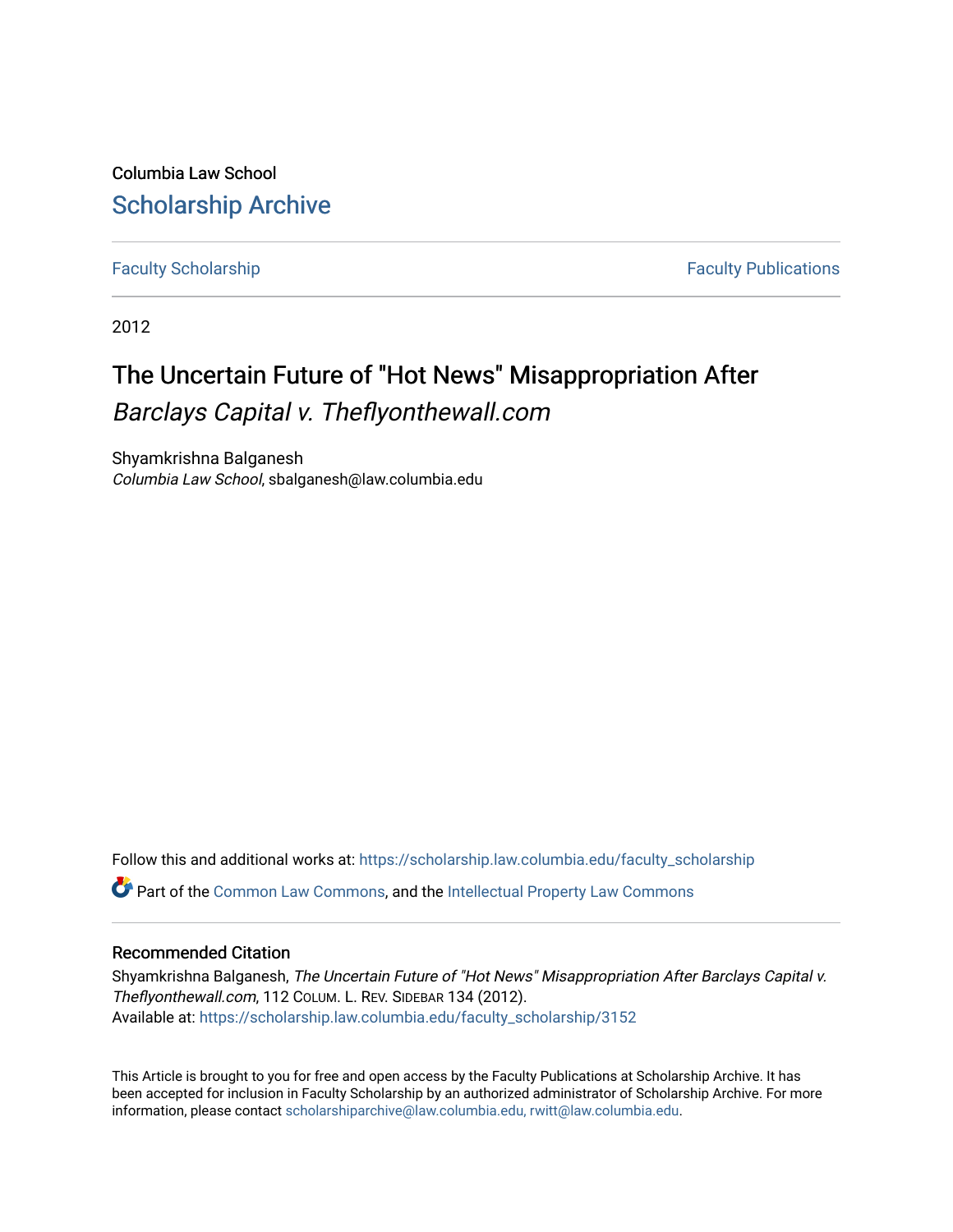Columbia Law School [Scholarship Archive](https://scholarship.law.columbia.edu/) 

[Faculty Scholarship](https://scholarship.law.columbia.edu/faculty_scholarship) **Faculty Scholarship Faculty Publications** 

2012

# The Uncertain Future of "Hot News" Misappropriation After Barclays Capital v. Theflyonthewall.com

Shyamkrishna Balganesh Columbia Law School, sbalganesh@law.columbia.edu

Follow this and additional works at: [https://scholarship.law.columbia.edu/faculty\\_scholarship](https://scholarship.law.columbia.edu/faculty_scholarship?utm_source=scholarship.law.columbia.edu%2Ffaculty_scholarship%2F3152&utm_medium=PDF&utm_campaign=PDFCoverPages)

Part of the [Common Law Commons,](http://network.bepress.com/hgg/discipline/1120?utm_source=scholarship.law.columbia.edu%2Ffaculty_scholarship%2F3152&utm_medium=PDF&utm_campaign=PDFCoverPages) and the [Intellectual Property Law Commons](http://network.bepress.com/hgg/discipline/896?utm_source=scholarship.law.columbia.edu%2Ffaculty_scholarship%2F3152&utm_medium=PDF&utm_campaign=PDFCoverPages)

# Recommended Citation

Shyamkrishna Balganesh, The Uncertain Future of "Hot News" Misappropriation After Barclays Capital v. Theflyonthewall.com, 112 COLUM. L. REV. SIDEBAR 134 (2012). Available at: [https://scholarship.law.columbia.edu/faculty\\_scholarship/3152](https://scholarship.law.columbia.edu/faculty_scholarship/3152?utm_source=scholarship.law.columbia.edu%2Ffaculty_scholarship%2F3152&utm_medium=PDF&utm_campaign=PDFCoverPages)

This Article is brought to you for free and open access by the Faculty Publications at Scholarship Archive. It has been accepted for inclusion in Faculty Scholarship by an authorized administrator of Scholarship Archive. For more information, please contact [scholarshiparchive@law.columbia.edu, rwitt@law.columbia.edu](mailto:scholarshiparchive@law.columbia.edu,%20rwitt@law.columbia.edu).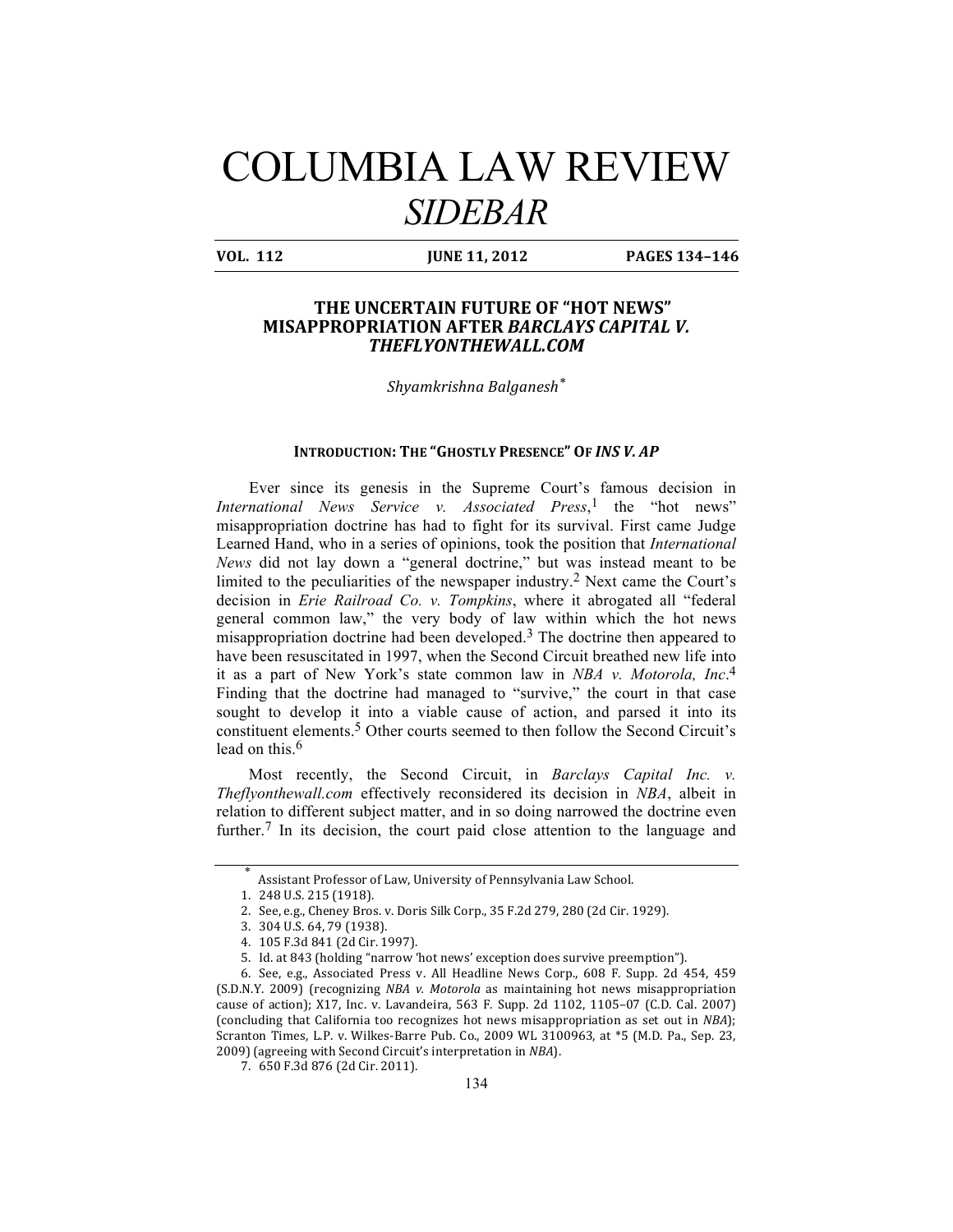# COLUMBIA LAW REVIEW *SIDEBAR*

**VOL.** 112 **JUNE 11, 2012 PAGES 134-146** 

## **THE UNCERTAIN FUTURE OF "HOT NEWS" MISAPPROPRIATION AFTER BARCLAYS CAPITAL V.** *THEFLYONTHEWALL.COM*

*Shyamkrishna Balganesh\**

#### **INTRODUCTION: THE "GHOSTLY PRESENCE" OF INS V. AP**

Ever since its genesis in the Supreme Court's famous decision in *International News Service v. Associated Press*, 1 the "hot news" misappropriation doctrine has had to fight for its survival. First came Judge Learned Hand, who in a series of opinions, took the position that *International News* did not lay down a "general doctrine," but was instead meant to be limited to the peculiarities of the newspaper industry.2 Next came the Court's decision in *Erie Railroad Co. v. Tompkins*, where it abrogated all "federal general common law," the very body of law within which the hot news misappropriation doctrine had been developed.<sup>3</sup> The doctrine then appeared to have been resuscitated in 1997, when the Second Circuit breathed new life into it as a part of New York's state common law in *NBA v. Motorola, Inc*. 4 Finding that the doctrine had managed to "survive," the court in that case sought to develop it into a viable cause of action, and parsed it into its constituent elements.5 Other courts seemed to then follow the Second Circuit's lead on this.<sup>6</sup>

Most recently, the Second Circuit, in *Barclays Capital Inc. v. Theflyonthewall.com* effectively reconsidered its decision in *NBA*, albeit in relation to different subject matter, and in so doing narrowed the doctrine even further.<sup>7</sup> In its decision, the court paid close attention to the language and

Assistant Professor of Law, University of Pennsylvania Law School.

<sup>1. 248</sup> U.S. 215 (1918).

<sup>2.</sup> See, e.g., Cheney Bros. v. Doris Silk Corp., 35 F.2d 279, 280 (2d Cir. 1929).

<sup>3. 304</sup> U.S. 64, 79 (1938).

<sup>4.</sup> 105 F.3d 841 (2d Cir. 1997).

<sup>5.</sup> Id. at 843 (holding "narrow 'hot news' exception does survive preemption").

<sup>6.</sup> See, e.g., Associated Press v. All Headline News Corp., 608 F. Supp. 2d 454, 459 (S.D.N.Y. 2009) (recognizing *NBA v. Motorola* as maintaining hot news misappropriation cause of action); X17, Inc. v. Lavandeira, 563 F. Supp. 2d 1102, 1105-07 (C.D. Cal. 2007) (concluding that California too recognizes hot news misappropriation as set out in *NBA*); Scranton Times, L.P. v. Wilkes-Barre Pub. Co., 2009 WL 3100963, at \*5 (M.D. Pa., Sep. 23, 2009) (agreeing with Second Circuit's interpretation in *NBA*).

<sup>7.</sup> 650 F.3d 876 (2d Cir. 2011).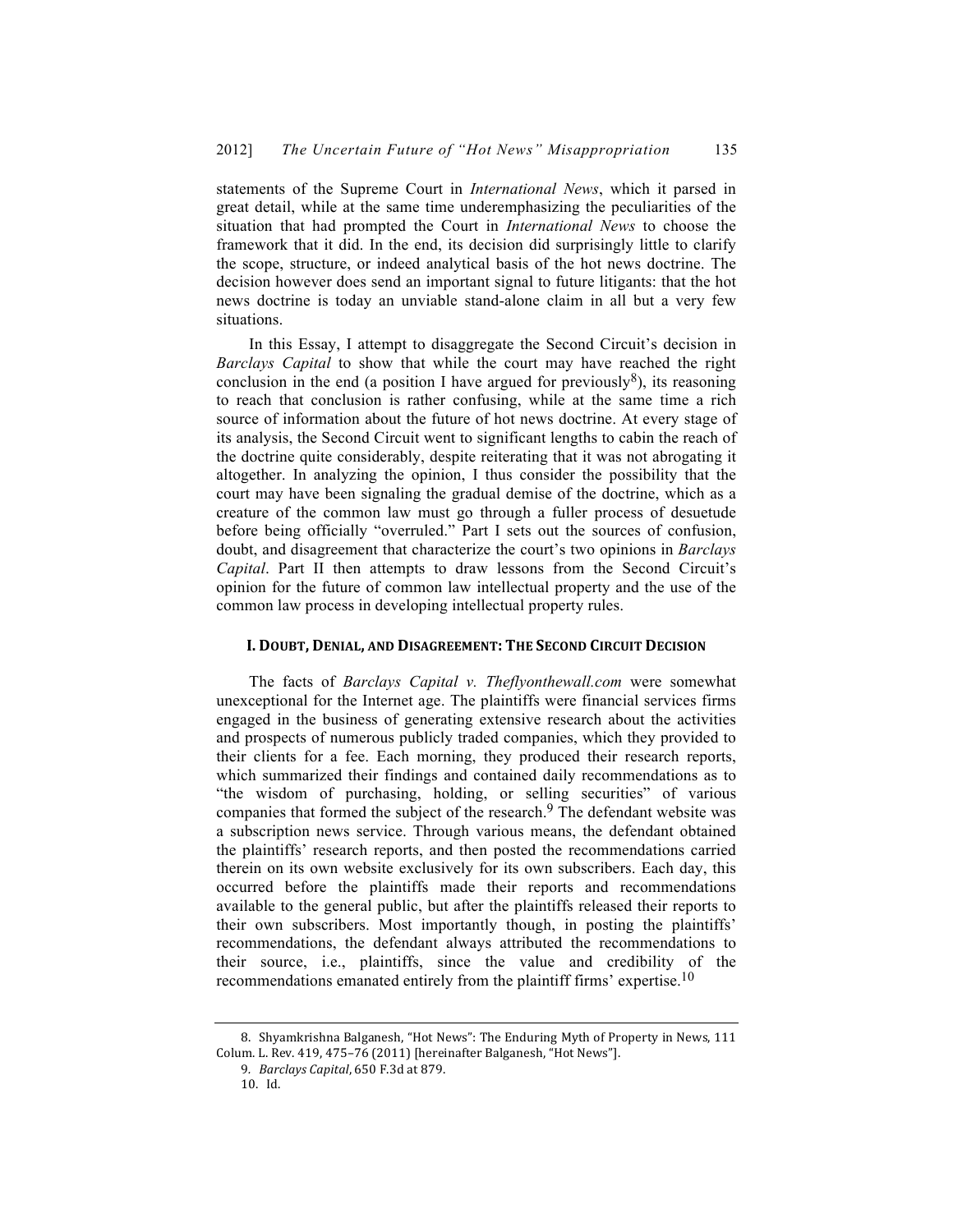statements of the Supreme Court in *International News*, which it parsed in great detail, while at the same time underemphasizing the peculiarities of the situation that had prompted the Court in *International News* to choose the framework that it did. In the end, its decision did surprisingly little to clarify the scope, structure, or indeed analytical basis of the hot news doctrine. The decision however does send an important signal to future litigants: that the hot news doctrine is today an unviable stand-alone claim in all but a very few situations.

In this Essay, I attempt to disaggregate the Second Circuit's decision in *Barclays Capital* to show that while the court may have reached the right conclusion in the end (a position I have argued for previously<sup>8</sup>), its reasoning to reach that conclusion is rather confusing, while at the same time a rich source of information about the future of hot news doctrine. At every stage of its analysis, the Second Circuit went to significant lengths to cabin the reach of the doctrine quite considerably, despite reiterating that it was not abrogating it altogether. In analyzing the opinion, I thus consider the possibility that the court may have been signaling the gradual demise of the doctrine, which as a creature of the common law must go through a fuller process of desuetude before being officially "overruled." Part I sets out the sources of confusion, doubt, and disagreement that characterize the court's two opinions in *Barclays Capital*. Part II then attempts to draw lessons from the Second Circuit's opinion for the future of common law intellectual property and the use of the common law process in developing intellectual property rules.

#### **I. DOUBT, DENIAL, AND DISAGREEMENT: THE SECOND CIRCUIT DECISION**

The facts of *Barclays Capital v. Theflyonthewall.com* were somewhat unexceptional for the Internet age. The plaintiffs were financial services firms engaged in the business of generating extensive research about the activities and prospects of numerous publicly traded companies, which they provided to their clients for a fee. Each morning, they produced their research reports, which summarized their findings and contained daily recommendations as to "the wisdom of purchasing, holding, or selling securities" of various companies that formed the subject of the research.<sup>9</sup> The defendant website was a subscription news service. Through various means, the defendant obtained the plaintiffs' research reports, and then posted the recommendations carried therein on its own website exclusively for its own subscribers. Each day, this occurred before the plaintiffs made their reports and recommendations available to the general public, but after the plaintiffs released their reports to their own subscribers. Most importantly though, in posting the plaintiffs' recommendations, the defendant always attributed the recommendations to their source, i.e., plaintiffs, since the value and credibility of the recommendations emanated entirely from the plaintiff firms' expertise.10

<sup>8.</sup> Shyamkrishna Balganesh, "Hot News": The Enduring Myth of Property in News, 111 Colum. L. Rev. 419, 475-76 (2011) [hereinafter Balganesh, "Hot News"].

<sup>9</sup>*. Barclays Capital*, 650 F.3d at 879.

<sup>10.</sup> Id.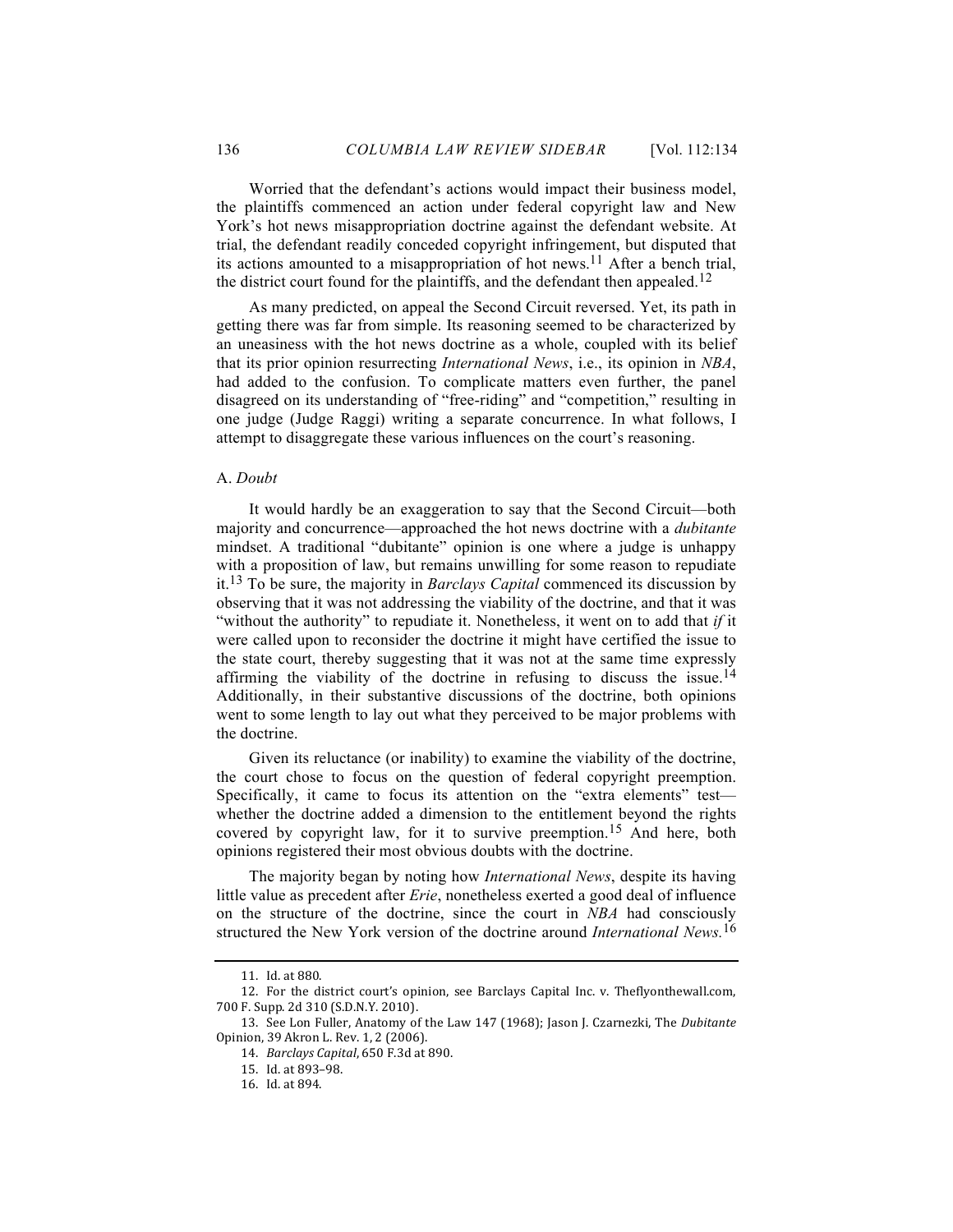Worried that the defendant's actions would impact their business model, the plaintiffs commenced an action under federal copyright law and New York's hot news misappropriation doctrine against the defendant website. At trial, the defendant readily conceded copyright infringement, but disputed that its actions amounted to a misappropriation of hot news.<sup>11</sup> After a bench trial, the district court found for the plaintiffs, and the defendant then appealed.<sup>12</sup>

As many predicted, on appeal the Second Circuit reversed. Yet, its path in getting there was far from simple. Its reasoning seemed to be characterized by an uneasiness with the hot news doctrine as a whole, coupled with its belief that its prior opinion resurrecting *International News*, i.e., its opinion in *NBA*, had added to the confusion. To complicate matters even further, the panel disagreed on its understanding of "free-riding" and "competition," resulting in one judge (Judge Raggi) writing a separate concurrence. In what follows, I attempt to disaggregate these various influences on the court's reasoning.

#### A. *Doubt*

It would hardly be an exaggeration to say that the Second Circuit—both majority and concurrence—approached the hot news doctrine with a *dubitante* mindset. A traditional "dubitante" opinion is one where a judge is unhappy with a proposition of law, but remains unwilling for some reason to repudiate it.13 To be sure, the majority in *Barclays Capital* commenced its discussion by observing that it was not addressing the viability of the doctrine, and that it was "without the authority" to repudiate it. Nonetheless, it went on to add that *if* it were called upon to reconsider the doctrine it might have certified the issue to the state court, thereby suggesting that it was not at the same time expressly affirming the viability of the doctrine in refusing to discuss the issue.<sup>14</sup> Additionally, in their substantive discussions of the doctrine, both opinions went to some length to lay out what they perceived to be major problems with the doctrine.

Given its reluctance (or inability) to examine the viability of the doctrine, the court chose to focus on the question of federal copyright preemption. Specifically, it came to focus its attention on the "extra elements" test whether the doctrine added a dimension to the entitlement beyond the rights covered by copyright law, for it to survive preemption.15 And here, both opinions registered their most obvious doubts with the doctrine.

The majority began by noting how *International News*, despite its having little value as precedent after *Erie*, nonetheless exerted a good deal of influence on the structure of the doctrine, since the court in *NBA* had consciously structured the New York version of the doctrine around *International News.*16

<sup>11.</sup> Id. at 880.

<sup>12.</sup> For the district court's opinion, see Barclays Capital Inc. v. Theflyonthewall.com, 700 F. Supp. 2d 310 (S.D.N.Y. 2010).

<sup>13.</sup> See Lon Fuller, Anatomy of the Law 147 (1968); Jason J. Czarnezki, The *Dubitante* Opinion, 39 Akron L. Rev. 1, 2 (2006).

<sup>14.</sup> *Barclays Capital*, 650 F.3d at 890.

<sup>15.</sup> Id. at 893–98.

<sup>16.</sup> Id. at 894.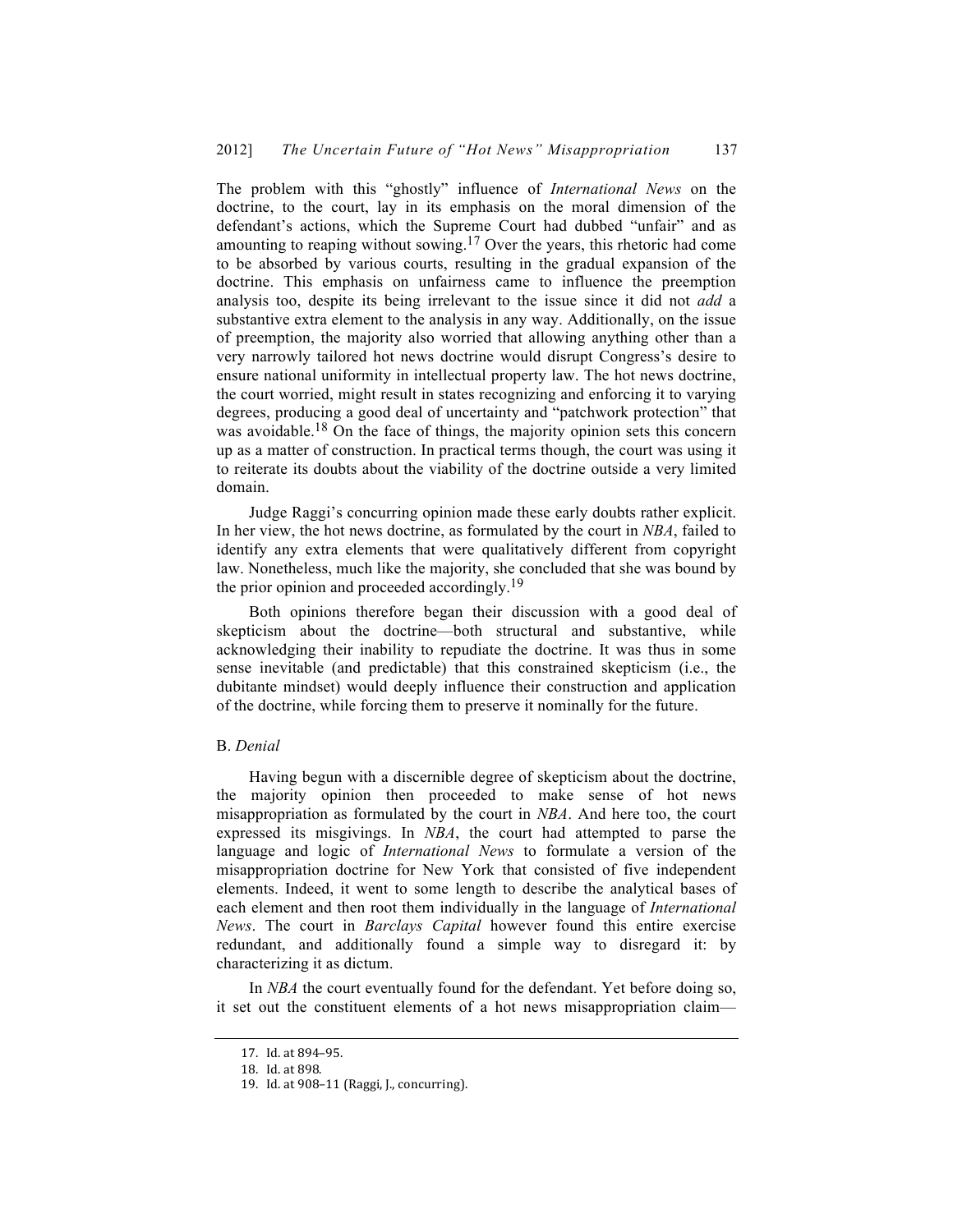The problem with this "ghostly" influence of *International News* on the doctrine, to the court, lay in its emphasis on the moral dimension of the defendant's actions, which the Supreme Court had dubbed "unfair" and as amounting to reaping without sowing.17 Over the years, this rhetoric had come to be absorbed by various courts, resulting in the gradual expansion of the doctrine. This emphasis on unfairness came to influence the preemption analysis too, despite its being irrelevant to the issue since it did not *add* a substantive extra element to the analysis in any way. Additionally, on the issue of preemption, the majority also worried that allowing anything other than a very narrowly tailored hot news doctrine would disrupt Congress's desire to ensure national uniformity in intellectual property law. The hot news doctrine, the court worried, might result in states recognizing and enforcing it to varying degrees, producing a good deal of uncertainty and "patchwork protection" that was avoidable.<sup>18</sup> On the face of things, the majority opinion sets this concern up as a matter of construction. In practical terms though, the court was using it to reiterate its doubts about the viability of the doctrine outside a very limited domain.

Judge Raggi's concurring opinion made these early doubts rather explicit. In her view, the hot news doctrine, as formulated by the court in *NBA*, failed to identify any extra elements that were qualitatively different from copyright law. Nonetheless, much like the majority, she concluded that she was bound by the prior opinion and proceeded accordingly.<sup>19</sup>

Both opinions therefore began their discussion with a good deal of skepticism about the doctrine—both structural and substantive, while acknowledging their inability to repudiate the doctrine. It was thus in some sense inevitable (and predictable) that this constrained skepticism (i.e., the dubitante mindset) would deeply influence their construction and application of the doctrine, while forcing them to preserve it nominally for the future.

#### B. *Denial*

Having begun with a discernible degree of skepticism about the doctrine, the majority opinion then proceeded to make sense of hot news misappropriation as formulated by the court in *NBA*. And here too, the court expressed its misgivings. In *NBA*, the court had attempted to parse the language and logic of *International News* to formulate a version of the misappropriation doctrine for New York that consisted of five independent elements. Indeed, it went to some length to describe the analytical bases of each element and then root them individually in the language of *International News*. The court in *Barclays Capital* however found this entire exercise redundant, and additionally found a simple way to disregard it: by characterizing it as dictum.

In *NBA* the court eventually found for the defendant. Yet before doing so, it set out the constituent elements of a hot news misappropriation claim—

<sup>17.</sup> Id. at 894-95.

<sup>18.</sup> Id. at 898.

<sup>19.</sup> Id. at 908-11 (Raggi, J., concurring).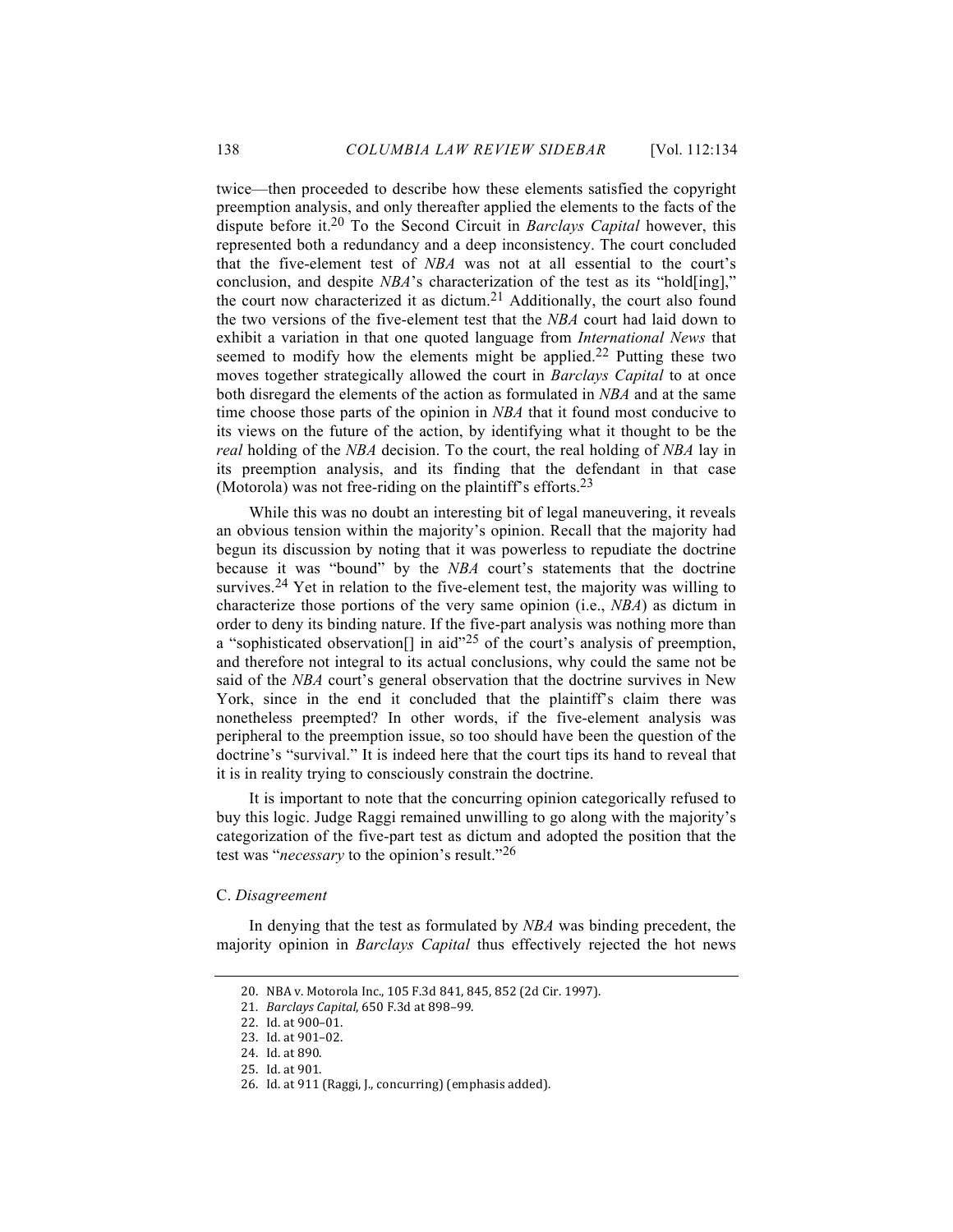twice—then proceeded to describe how these elements satisfied the copyright preemption analysis, and only thereafter applied the elements to the facts of the dispute before it.20 To the Second Circuit in *Barclays Capital* however, this represented both a redundancy and a deep inconsistency. The court concluded that the five-element test of *NBA* was not at all essential to the court's conclusion, and despite *NBA*'s characterization of the test as its "hold[ing]," the court now characterized it as dictum.<sup>21</sup> Additionally, the court also found the two versions of the five-element test that the *NBA* court had laid down to exhibit a variation in that one quoted language from *International News* that seemed to modify how the elements might be applied.<sup>22</sup> Putting these two moves together strategically allowed the court in *Barclays Capital* to at once both disregard the elements of the action as formulated in *NBA* and at the same time choose those parts of the opinion in *NBA* that it found most conducive to its views on the future of the action, by identifying what it thought to be the *real* holding of the *NBA* decision. To the court, the real holding of *NBA* lay in its preemption analysis, and its finding that the defendant in that case (Motorola) was not free-riding on the plaintiff's efforts.23

While this was no doubt an interesting bit of legal maneuvering, it reveals an obvious tension within the majority's opinion. Recall that the majority had begun its discussion by noting that it was powerless to repudiate the doctrine because it was "bound" by the *NBA* court's statements that the doctrine survives.<sup>24</sup> Yet in relation to the five-element test, the majority was willing to characterize those portions of the very same opinion (i.e., *NBA*) as dictum in order to deny its binding nature. If the five-part analysis was nothing more than a "sophisticated observation<sup>[]</sup> in aid"<sup>25</sup> of the court's analysis of preemption, and therefore not integral to its actual conclusions, why could the same not be said of the *NBA* court's general observation that the doctrine survives in New York, since in the end it concluded that the plaintiff's claim there was nonetheless preempted? In other words, if the five-element analysis was peripheral to the preemption issue, so too should have been the question of the doctrine's "survival." It is indeed here that the court tips its hand to reveal that it is in reality trying to consciously constrain the doctrine.

It is important to note that the concurring opinion categorically refused to buy this logic. Judge Raggi remained unwilling to go along with the majority's categorization of the five-part test as dictum and adopted the position that the test was "*necessary* to the opinion's result."26

#### C. *Disagreement*

In denying that the test as formulated by *NBA* was binding precedent, the majority opinion in *Barclays Capital* thus effectively rejected the hot news

<sup>20.</sup> NBA v. Motorola Inc., 105 F.3d 841, 845, 852 (2d Cir. 1997).

<sup>21.</sup> *Barclays Capital*, 650 F.3d at 898-99.

<sup>22.</sup> Id. at 900-01.

<sup>23.</sup> Id. at 901-02.

<sup>24.</sup> Id. at 890.

<sup>25.</sup> Id. at 901.

<sup>26.</sup> Id. at 911 (Raggi, J., concurring) (emphasis added).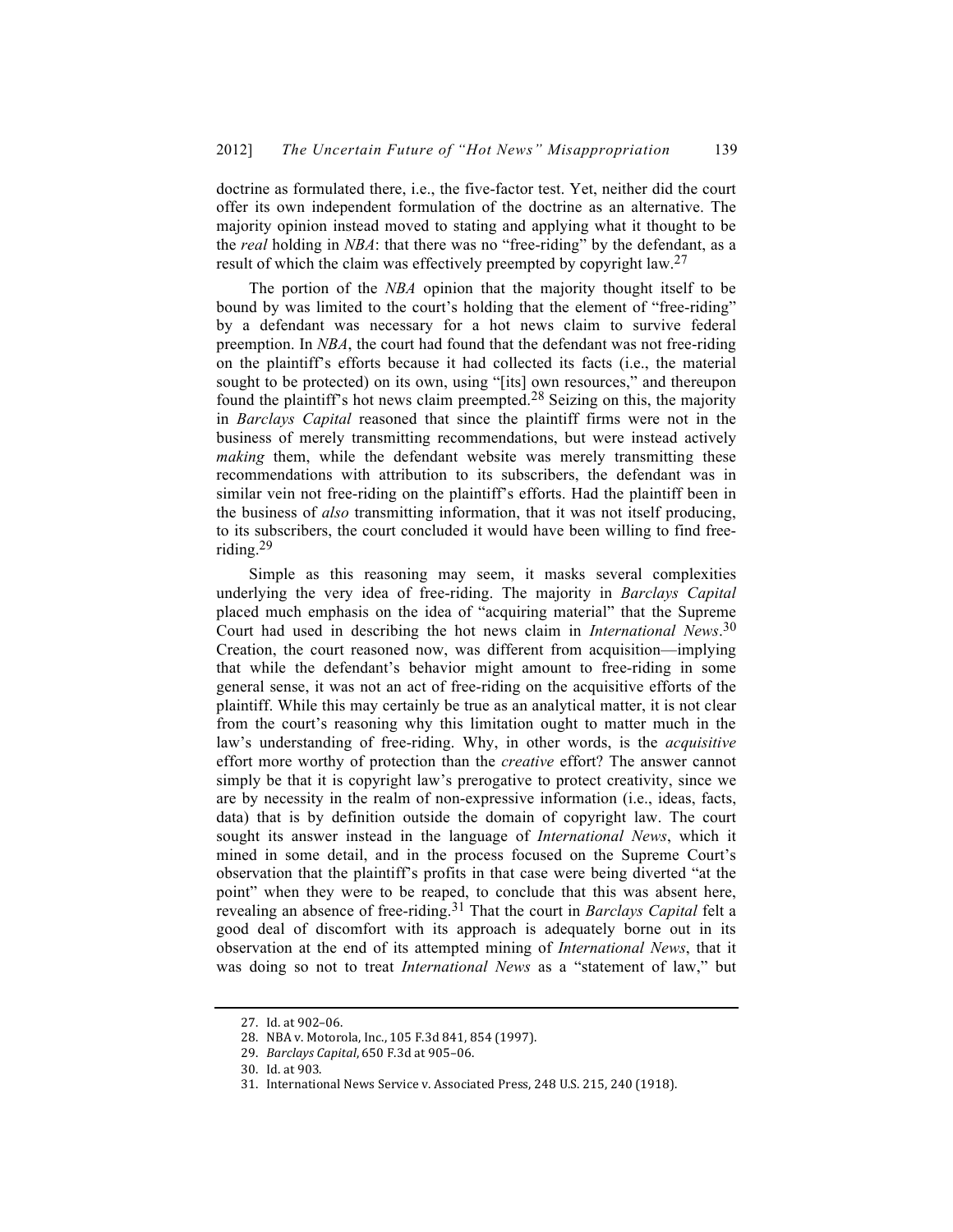doctrine as formulated there, i.e., the five-factor test. Yet, neither did the court offer its own independent formulation of the doctrine as an alternative. The majority opinion instead moved to stating and applying what it thought to be the *real* holding in *NBA*: that there was no "free-riding" by the defendant, as a result of which the claim was effectively preempted by copyright law.<sup>27</sup>

The portion of the *NBA* opinion that the majority thought itself to be bound by was limited to the court's holding that the element of "free-riding" by a defendant was necessary for a hot news claim to survive federal preemption. In *NBA*, the court had found that the defendant was not free-riding on the plaintiff's efforts because it had collected its facts (i.e., the material sought to be protected) on its own, using "[its] own resources," and thereupon found the plaintiff's hot news claim preempted.28 Seizing on this, the majority in *Barclays Capital* reasoned that since the plaintiff firms were not in the business of merely transmitting recommendations, but were instead actively *making* them, while the defendant website was merely transmitting these recommendations with attribution to its subscribers, the defendant was in similar vein not free-riding on the plaintiff's efforts. Had the plaintiff been in the business of *also* transmitting information, that it was not itself producing, to its subscribers, the court concluded it would have been willing to find freeriding.29

Simple as this reasoning may seem, it masks several complexities underlying the very idea of free-riding. The majority in *Barclays Capital* placed much emphasis on the idea of "acquiring material" that the Supreme Court had used in describing the hot news claim in *International News*. 30 Creation, the court reasoned now, was different from acquisition—implying that while the defendant's behavior might amount to free-riding in some general sense, it was not an act of free-riding on the acquisitive efforts of the plaintiff. While this may certainly be true as an analytical matter, it is not clear from the court's reasoning why this limitation ought to matter much in the law's understanding of free-riding. Why, in other words, is the *acquisitive* effort more worthy of protection than the *creative* effort? The answer cannot simply be that it is copyright law's prerogative to protect creativity, since we are by necessity in the realm of non-expressive information (i.e., ideas, facts, data) that is by definition outside the domain of copyright law. The court sought its answer instead in the language of *International News*, which it mined in some detail, and in the process focused on the Supreme Court's observation that the plaintiff's profits in that case were being diverted "at the point" when they were to be reaped, to conclude that this was absent here, revealing an absence of free-riding.31 That the court in *Barclays Capital* felt a good deal of discomfort with its approach is adequately borne out in its observation at the end of its attempted mining of *International News*, that it was doing so not to treat *International News* as a "statement of law," but

<sup>27.</sup> Id. at 902-06.

<sup>28.</sup> NBA v. Motorola, Inc., 105 F.3d 841, 854 (1997).

<sup>29.</sup> *Barclays Capital*, 650 F.3d at 905-06.

<sup>30.</sup> Id. at 903.

<sup>31.</sup> International News Service v. Associated Press, 248 U.S. 215, 240 (1918).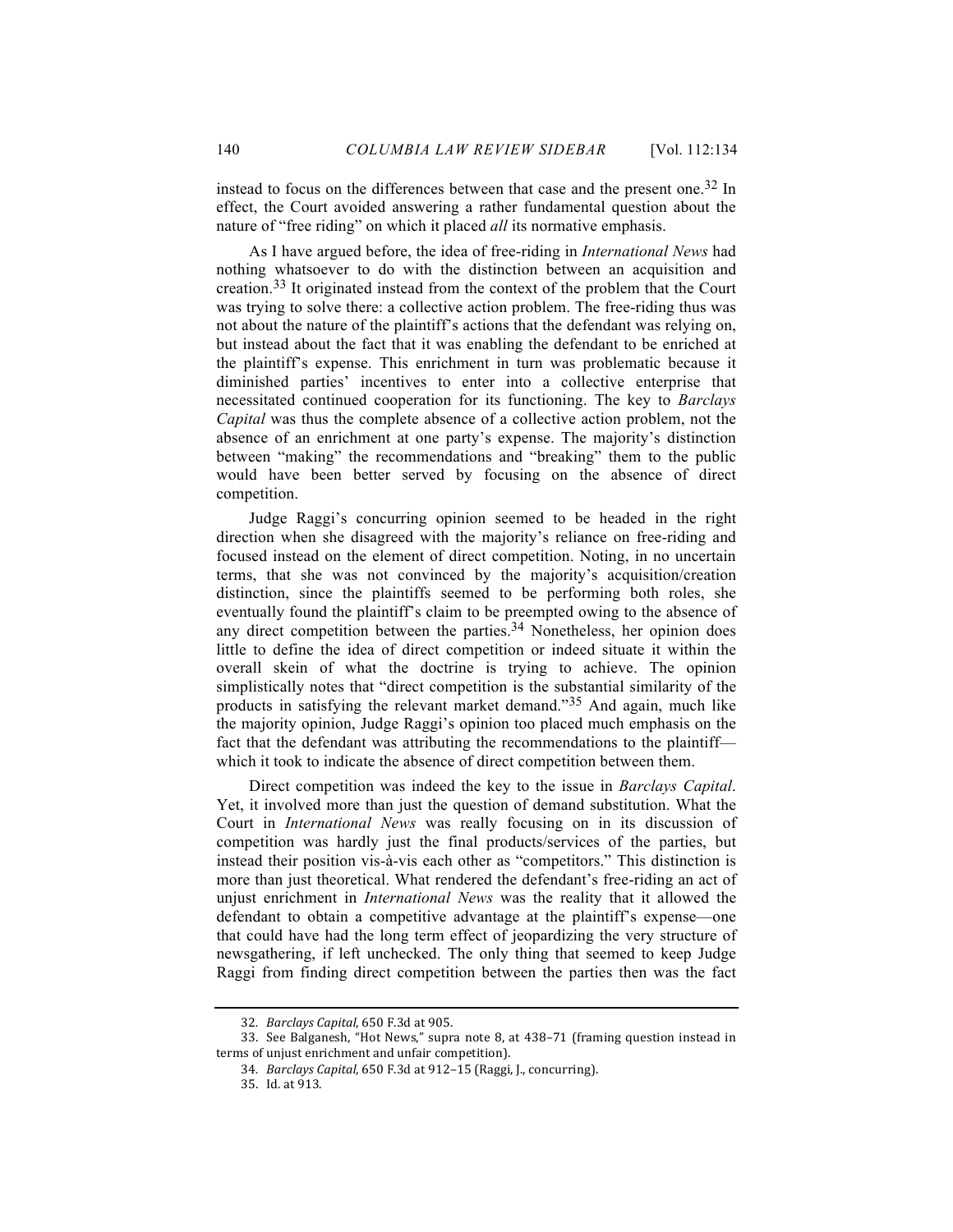instead to focus on the differences between that case and the present one.32 In effect, the Court avoided answering a rather fundamental question about the nature of "free riding" on which it placed *all* its normative emphasis.

As I have argued before, the idea of free-riding in *International News* had nothing whatsoever to do with the distinction between an acquisition and creation.<sup>33</sup> It originated instead from the context of the problem that the Court was trying to solve there: a collective action problem. The free-riding thus was not about the nature of the plaintiff's actions that the defendant was relying on, but instead about the fact that it was enabling the defendant to be enriched at the plaintiff's expense. This enrichment in turn was problematic because it diminished parties' incentives to enter into a collective enterprise that necessitated continued cooperation for its functioning. The key to *Barclays Capital* was thus the complete absence of a collective action problem, not the absence of an enrichment at one party's expense. The majority's distinction between "making" the recommendations and "breaking" them to the public would have been better served by focusing on the absence of direct competition.

Judge Raggi's concurring opinion seemed to be headed in the right direction when she disagreed with the majority's reliance on free-riding and focused instead on the element of direct competition. Noting, in no uncertain terms, that she was not convinced by the majority's acquisition/creation distinction, since the plaintiffs seemed to be performing both roles, she eventually found the plaintiff's claim to be preempted owing to the absence of any direct competition between the parties.<sup>34</sup> Nonetheless, her opinion does little to define the idea of direct competition or indeed situate it within the overall skein of what the doctrine is trying to achieve. The opinion simplistically notes that "direct competition is the substantial similarity of the products in satisfying the relevant market demand."35 And again, much like the majority opinion, Judge Raggi's opinion too placed much emphasis on the fact that the defendant was attributing the recommendations to the plaintiff which it took to indicate the absence of direct competition between them.

Direct competition was indeed the key to the issue in *Barclays Capital*. Yet, it involved more than just the question of demand substitution. What the Court in *International News* was really focusing on in its discussion of competition was hardly just the final products/services of the parties, but instead their position vis-à-vis each other as "competitors." This distinction is more than just theoretical. What rendered the defendant's free-riding an act of unjust enrichment in *International News* was the reality that it allowed the defendant to obtain a competitive advantage at the plaintiff's expense—one that could have had the long term effect of jeopardizing the very structure of newsgathering, if left unchecked. The only thing that seemed to keep Judge Raggi from finding direct competition between the parties then was the fact

<sup>32</sup>*. Barclays Capital*, 650 F.3d at 905.

<sup>33.</sup> See Balganesh, "Hot News," supra note 8, at 438–71 (framing question instead in terms of unjust enrichment and unfair competition).

<sup>34.</sup> *Barclays Capital*, 650 F.3d at 912-15 (Raggi, J., concurring).

<sup>35.</sup> Id. at 913.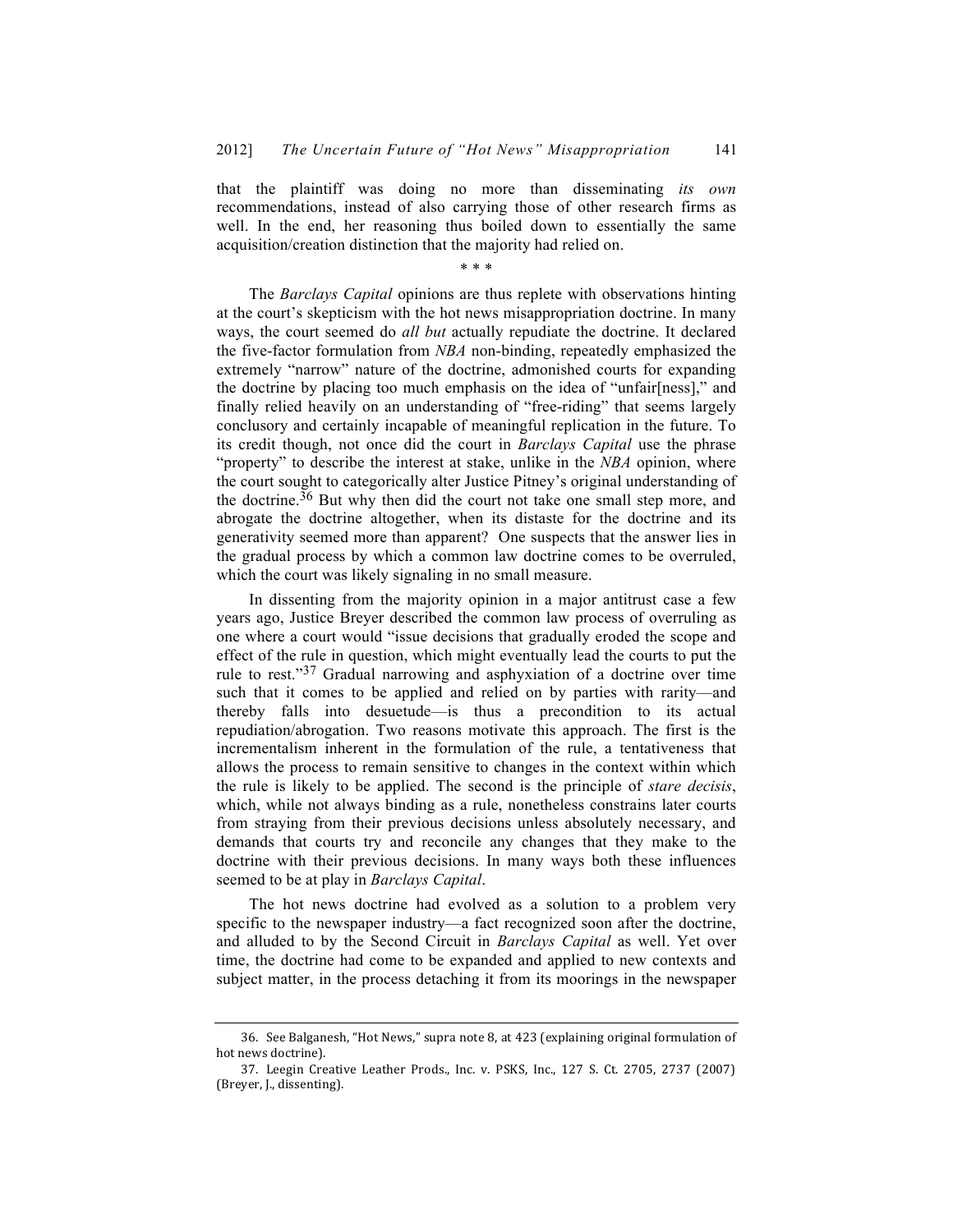that the plaintiff was doing no more than disseminating *its own* recommendations, instead of also carrying those of other research firms as well. In the end, her reasoning thus boiled down to essentially the same acquisition/creation distinction that the majority had relied on.

\* \* \*

The *Barclays Capital* opinions are thus replete with observations hinting at the court's skepticism with the hot news misappropriation doctrine. In many ways, the court seemed do *all but* actually repudiate the doctrine. It declared the five-factor formulation from *NBA* non-binding, repeatedly emphasized the extremely "narrow" nature of the doctrine, admonished courts for expanding the doctrine by placing too much emphasis on the idea of "unfair[ness]," and finally relied heavily on an understanding of "free-riding" that seems largely conclusory and certainly incapable of meaningful replication in the future. To its credit though, not once did the court in *Barclays Capital* use the phrase "property" to describe the interest at stake, unlike in the *NBA* opinion, where the court sought to categorically alter Justice Pitney's original understanding of the doctrine.36 But why then did the court not take one small step more, and abrogate the doctrine altogether, when its distaste for the doctrine and its generativity seemed more than apparent? One suspects that the answer lies in the gradual process by which a common law doctrine comes to be overruled, which the court was likely signaling in no small measure.

In dissenting from the majority opinion in a major antitrust case a few years ago, Justice Breyer described the common law process of overruling as one where a court would "issue decisions that gradually eroded the scope and effect of the rule in question, which might eventually lead the courts to put the rule to rest."37 Gradual narrowing and asphyxiation of a doctrine over time such that it comes to be applied and relied on by parties with rarity—and thereby falls into desuetude—is thus a precondition to its actual repudiation/abrogation. Two reasons motivate this approach. The first is the incrementalism inherent in the formulation of the rule, a tentativeness that allows the process to remain sensitive to changes in the context within which the rule is likely to be applied. The second is the principle of *stare decisis*, which, while not always binding as a rule, nonetheless constrains later courts from straying from their previous decisions unless absolutely necessary, and demands that courts try and reconcile any changes that they make to the doctrine with their previous decisions. In many ways both these influences seemed to be at play in *Barclays Capital*.

The hot news doctrine had evolved as a solution to a problem very specific to the newspaper industry—a fact recognized soon after the doctrine, and alluded to by the Second Circuit in *Barclays Capital* as well. Yet over time, the doctrine had come to be expanded and applied to new contexts and subject matter, in the process detaching it from its moorings in the newspaper

<sup>36.</sup> See Balganesh, "Hot News," supra note 8, at  $423$  (explaining original formulation of hot news doctrine).

<sup>37.</sup> Leegin Creative Leather Prods., Inc. v. PSKS, Inc., 127 S. Ct. 2705, 2737 (2007) (Breyer, J., dissenting).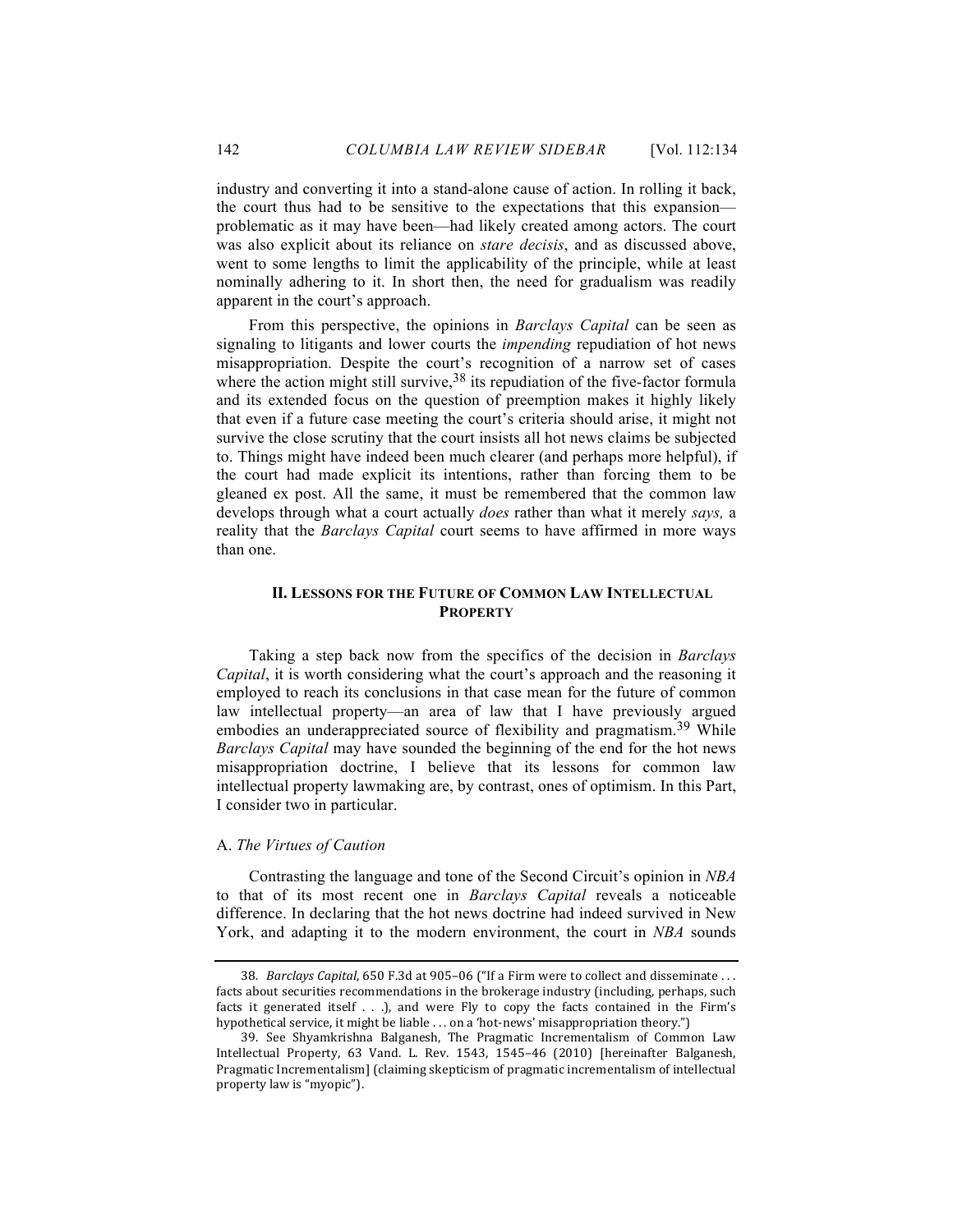industry and converting it into a stand-alone cause of action. In rolling it back, the court thus had to be sensitive to the expectations that this expansion problematic as it may have been—had likely created among actors. The court was also explicit about its reliance on *stare decisis*, and as discussed above, went to some lengths to limit the applicability of the principle, while at least nominally adhering to it. In short then, the need for gradualism was readily apparent in the court's approach.

From this perspective, the opinions in *Barclays Capital* can be seen as signaling to litigants and lower courts the *impending* repudiation of hot news misappropriation. Despite the court's recognition of a narrow set of cases where the action might still survive,  $38$  its repudiation of the five-factor formula and its extended focus on the question of preemption makes it highly likely that even if a future case meeting the court's criteria should arise, it might not survive the close scrutiny that the court insists all hot news claims be subjected to. Things might have indeed been much clearer (and perhaps more helpful), if the court had made explicit its intentions, rather than forcing them to be gleaned ex post. All the same, it must be remembered that the common law develops through what a court actually *does* rather than what it merely *says,* a reality that the *Barclays Capital* court seems to have affirmed in more ways than one.

### **II. LESSONS FOR THE FUTURE OF COMMON LAW INTELLECTUAL PROPERTY**

Taking a step back now from the specifics of the decision in *Barclays Capital*, it is worth considering what the court's approach and the reasoning it employed to reach its conclusions in that case mean for the future of common law intellectual property—an area of law that I have previously argued embodies an underappreciated source of flexibility and pragmatism.<sup>39</sup> While *Barclays Capital* may have sounded the beginning of the end for the hot news misappropriation doctrine, I believe that its lessons for common law intellectual property lawmaking are, by contrast, ones of optimism. In this Part, I consider two in particular.

#### A. *The Virtues of Caution*

Contrasting the language and tone of the Second Circuit's opinion in *NBA* to that of its most recent one in *Barclays Capital* reveals a noticeable difference. In declaring that the hot news doctrine had indeed survived in New York, and adapting it to the modern environment, the court in *NBA* sounds

<sup>38.</sup> *Barclays Capital*, 650 F.3d at 905-06 ("If a Firm were to collect and disseminate ... facts about securities recommendations in the brokerage industry (including, perhaps, such facts it generated itself  $\dots$ ), and were Fly to copy the facts contained in the Firm's hypothetical service, it might be liable  $\dots$  on a 'hot-news' misappropriation theory.")

<sup>39.</sup> See Shyamkrishna Balganesh, The Pragmatic Incrementalism of Common Law Intellectual Property, 63 Vand. L. Rev. 1543, 1545-46 (2010) [hereinafter Balganesh, Pragmatic Incrementalism] (claiming skepticism of pragmatic incrementalism of intellectual property law is "myopic").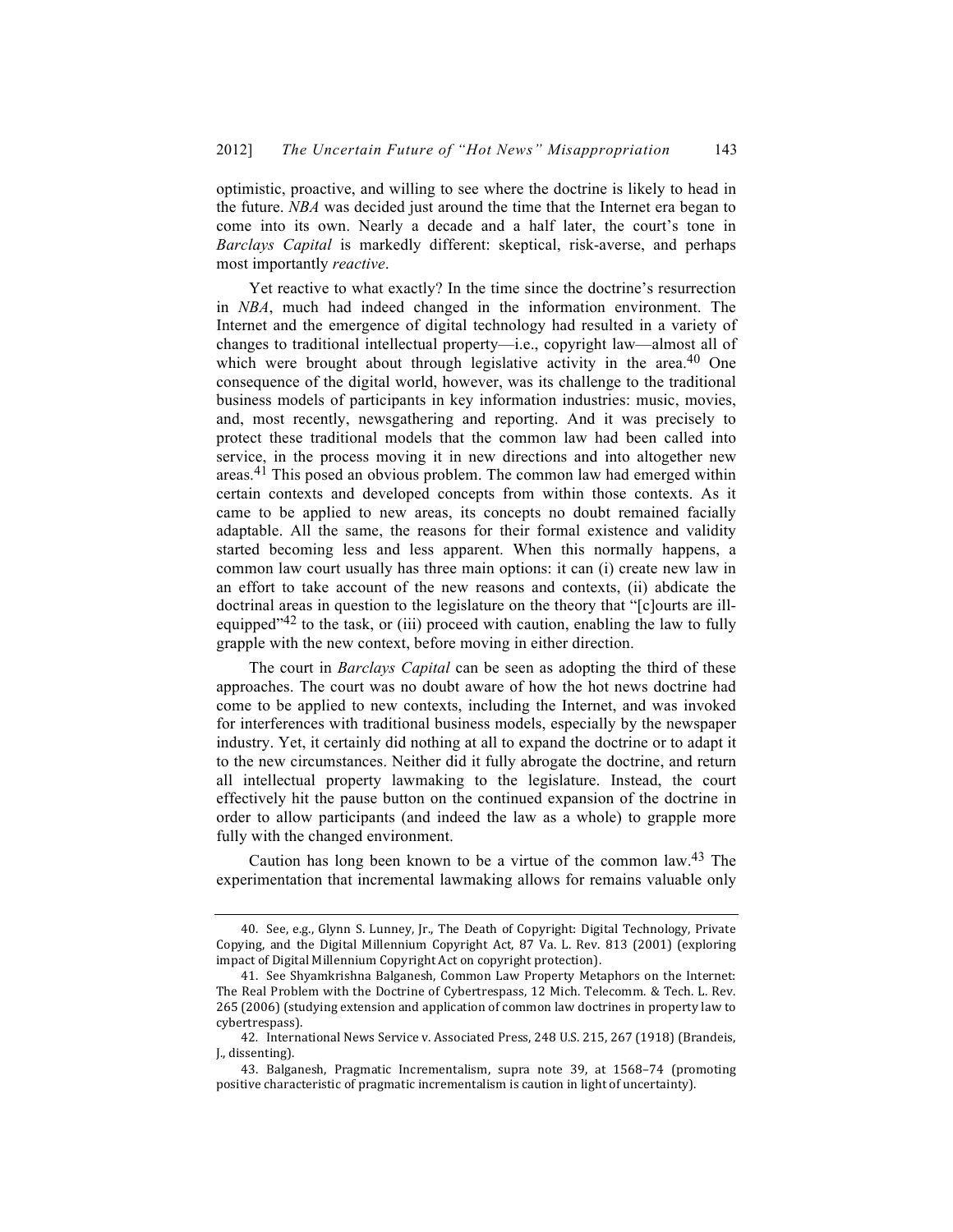optimistic, proactive, and willing to see where the doctrine is likely to head in the future. *NBA* was decided just around the time that the Internet era began to come into its own. Nearly a decade and a half later, the court's tone in *Barclays Capital* is markedly different: skeptical, risk-averse, and perhaps most importantly *reactive*.

Yet reactive to what exactly? In the time since the doctrine's resurrection in *NBA*, much had indeed changed in the information environment. The Internet and the emergence of digital technology had resulted in a variety of changes to traditional intellectual property—i.e., copyright law—almost all of which were brought about through legislative activity in the area.<sup>40</sup> One consequence of the digital world, however, was its challenge to the traditional business models of participants in key information industries: music, movies, and, most recently, newsgathering and reporting. And it was precisely to protect these traditional models that the common law had been called into service, in the process moving it in new directions and into altogether new areas.41 This posed an obvious problem. The common law had emerged within certain contexts and developed concepts from within those contexts. As it came to be applied to new areas, its concepts no doubt remained facially adaptable. All the same, the reasons for their formal existence and validity started becoming less and less apparent. When this normally happens, a common law court usually has three main options: it can (i) create new law in an effort to take account of the new reasons and contexts, (ii) abdicate the doctrinal areas in question to the legislature on the theory that "[c]ourts are illequipped $142$  to the task, or (iii) proceed with caution, enabling the law to fully grapple with the new context, before moving in either direction.

The court in *Barclays Capital* can be seen as adopting the third of these approaches. The court was no doubt aware of how the hot news doctrine had come to be applied to new contexts, including the Internet, and was invoked for interferences with traditional business models, especially by the newspaper industry. Yet, it certainly did nothing at all to expand the doctrine or to adapt it to the new circumstances. Neither did it fully abrogate the doctrine, and return all intellectual property lawmaking to the legislature. Instead, the court effectively hit the pause button on the continued expansion of the doctrine in order to allow participants (and indeed the law as a whole) to grapple more fully with the changed environment.

Caution has long been known to be a virtue of the common law.43 The experimentation that incremental lawmaking allows for remains valuable only

<sup>40.</sup> See, e.g., Glynn S. Lunney, Jr., The Death of Copyright: Digital Technology, Private Copying, and the Digital Millennium Copyright Act, 87 Va. L. Rev. 813 (2001) (exploring impact of Digital Millennium Copyright Act on copyright protection).

<sup>41.</sup> See Shyamkrishna Balganesh, Common Law Property Metaphors on the Internet: The Real Problem with the Doctrine of Cybertrespass, 12 Mich. Telecomm. & Tech. L. Rev. 265 (2006) (studying extension and application of common law doctrines in property law to cybertrespass).

<sup>42.</sup> International News Service v. Associated Press, 248 U.S. 215, 267 (1918) (Brandeis, J., dissenting).

<sup>43.</sup> Balganesh, Pragmatic Incrementalism, supra note 39, at 1568–74 (promoting positive characteristic of pragmatic incrementalism is caution in light of uncertainty).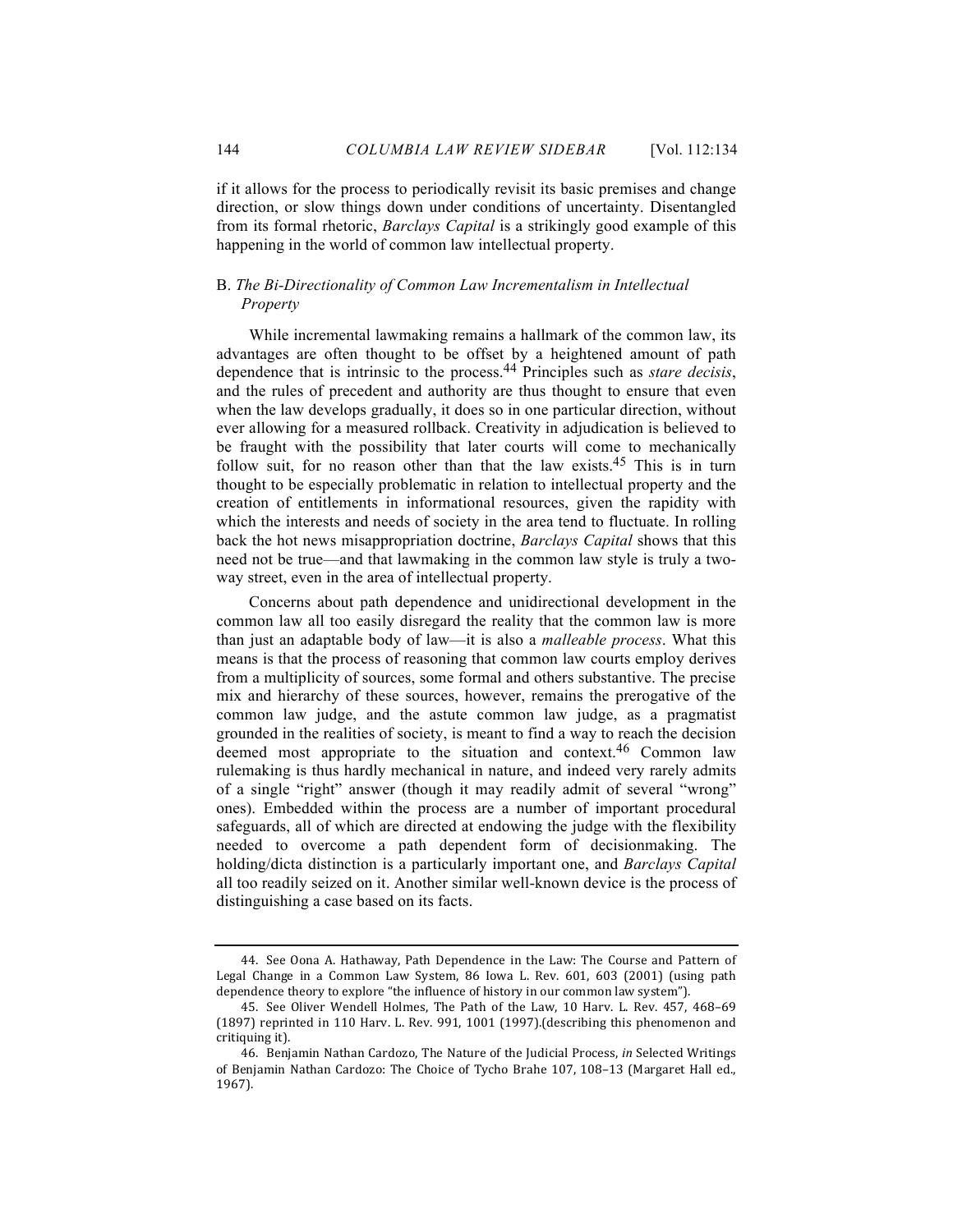if it allows for the process to periodically revisit its basic premises and change direction, or slow things down under conditions of uncertainty. Disentangled from its formal rhetoric, *Barclays Capital* is a strikingly good example of this happening in the world of common law intellectual property.

#### B. *The Bi-Directionality of Common Law Incrementalism in Intellectual Property*

While incremental lawmaking remains a hallmark of the common law, its advantages are often thought to be offset by a heightened amount of path dependence that is intrinsic to the process.44 Principles such as *stare decisis*, and the rules of precedent and authority are thus thought to ensure that even when the law develops gradually, it does so in one particular direction, without ever allowing for a measured rollback. Creativity in adjudication is believed to be fraught with the possibility that later courts will come to mechanically follow suit, for no reason other than that the law exists.<sup>45</sup> This is in turn thought to be especially problematic in relation to intellectual property and the creation of entitlements in informational resources, given the rapidity with which the interests and needs of society in the area tend to fluctuate. In rolling back the hot news misappropriation doctrine, *Barclays Capital* shows that this need not be true—and that lawmaking in the common law style is truly a twoway street, even in the area of intellectual property.

Concerns about path dependence and unidirectional development in the common law all too easily disregard the reality that the common law is more than just an adaptable body of law—it is also a *malleable process*. What this means is that the process of reasoning that common law courts employ derives from a multiplicity of sources, some formal and others substantive. The precise mix and hierarchy of these sources, however, remains the prerogative of the common law judge, and the astute common law judge, as a pragmatist grounded in the realities of society, is meant to find a way to reach the decision deemed most appropriate to the situation and context.46 Common law rulemaking is thus hardly mechanical in nature, and indeed very rarely admits of a single "right" answer (though it may readily admit of several "wrong" ones). Embedded within the process are a number of important procedural safeguards, all of which are directed at endowing the judge with the flexibility needed to overcome a path dependent form of decisionmaking. The holding/dicta distinction is a particularly important one, and *Barclays Capital* all too readily seized on it. Another similar well-known device is the process of distinguishing a case based on its facts.

<sup>44.</sup> See Oona A. Hathaway, Path Dependence in the Law: The Course and Pattern of Legal Change in a Common Law System, 86 Iowa L. Rev. 601, 603 (2001) (using path dependence theory to explore "the influence of history in our common law system").

<sup>45.</sup> See Oliver Wendell Holmes, The Path of the Law, 10 Harv. L. Rev. 457, 468-69  $(1897)$  reprinted in 110 Harv. L. Rev. 991, 1001  $(1997)$ . (describing this phenomenon and critiquing it).

<sup>46.</sup> Benjamin Nathan Cardozo, The Nature of the Judicial Process, in Selected Writings of Benjamin Nathan Cardozo: The Choice of Tycho Brahe 107, 108-13 (Margaret Hall ed., 1967).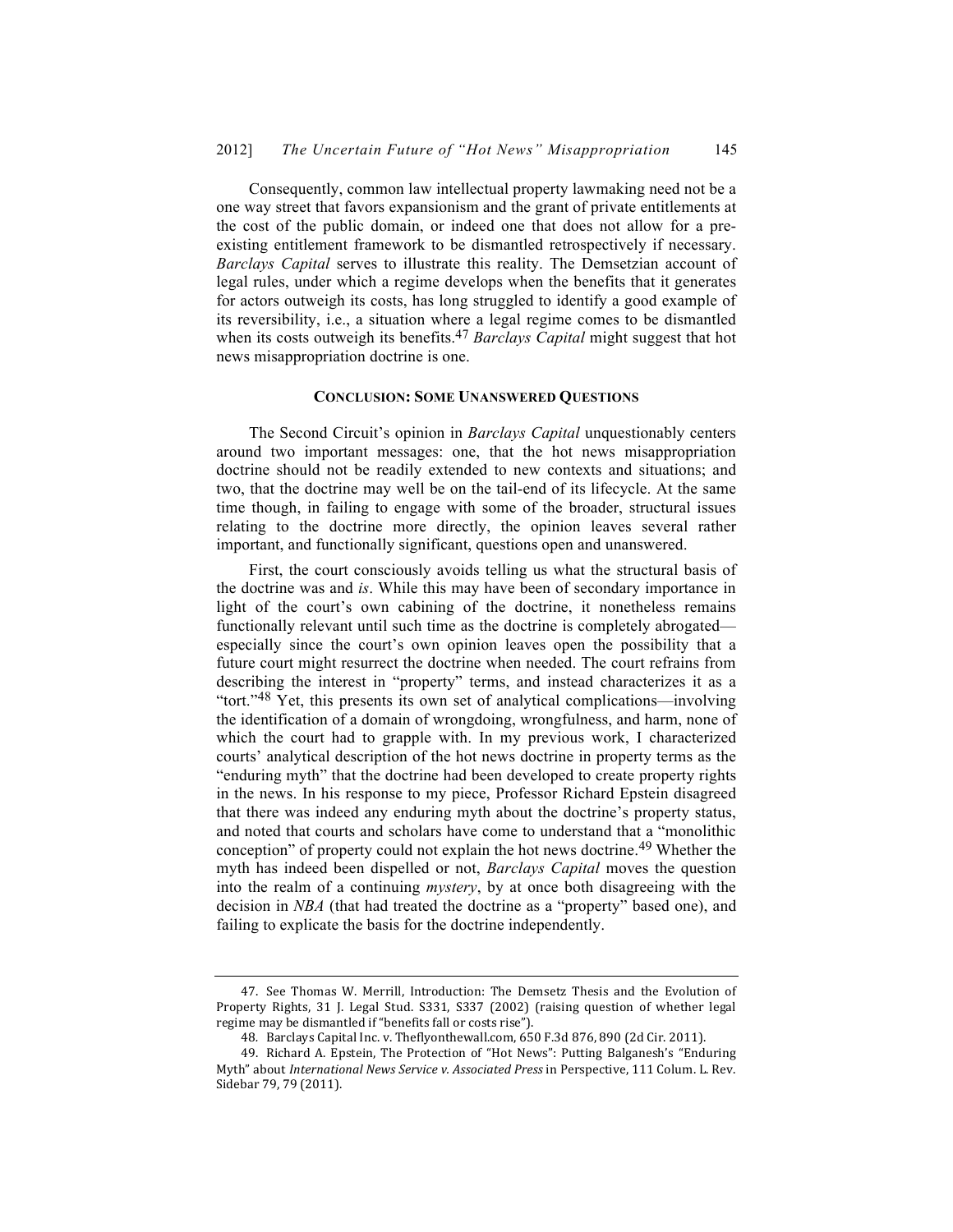Consequently, common law intellectual property lawmaking need not be a one way street that favors expansionism and the grant of private entitlements at the cost of the public domain, or indeed one that does not allow for a preexisting entitlement framework to be dismantled retrospectively if necessary. *Barclays Capital* serves to illustrate this reality. The Demsetzian account of legal rules, under which a regime develops when the benefits that it generates for actors outweigh its costs, has long struggled to identify a good example of its reversibility, i.e., a situation where a legal regime comes to be dismantled when its costs outweigh its benefits.47 *Barclays Capital* might suggest that hot news misappropriation doctrine is one.

#### **CONCLUSION: SOME UNANSWERED QUESTIONS**

The Second Circuit's opinion in *Barclays Capital* unquestionably centers around two important messages: one, that the hot news misappropriation doctrine should not be readily extended to new contexts and situations; and two, that the doctrine may well be on the tail-end of its lifecycle. At the same time though, in failing to engage with some of the broader, structural issues relating to the doctrine more directly, the opinion leaves several rather important, and functionally significant, questions open and unanswered.

First, the court consciously avoids telling us what the structural basis of the doctrine was and *is*. While this may have been of secondary importance in light of the court's own cabining of the doctrine, it nonetheless remains functionally relevant until such time as the doctrine is completely abrogated especially since the court's own opinion leaves open the possibility that a future court might resurrect the doctrine when needed. The court refrains from describing the interest in "property" terms, and instead characterizes it as a "tort."48 Yet, this presents its own set of analytical complications—involving the identification of a domain of wrongdoing, wrongfulness, and harm, none of which the court had to grapple with. In my previous work, I characterized courts' analytical description of the hot news doctrine in property terms as the "enduring myth" that the doctrine had been developed to create property rights in the news. In his response to my piece, Professor Richard Epstein disagreed that there was indeed any enduring myth about the doctrine's property status, and noted that courts and scholars have come to understand that a "monolithic conception" of property could not explain the hot news doctrine.49 Whether the myth has indeed been dispelled or not, *Barclays Capital* moves the question into the realm of a continuing *mystery*, by at once both disagreeing with the decision in *NBA* (that had treated the doctrine as a "property" based one), and failing to explicate the basis for the doctrine independently.

<sup>47.</sup> See Thomas W. Merrill, Introduction: The Demsetz Thesis and the Evolution of Property Rights, 31 J. Legal Stud. S331, S337 (2002) (raising question of whether legal regime may be dismantled if "benefits fall or costs rise").

<sup>48.</sup> Barclays Capital Inc. v. Theflyonthewall.com, 650 F.3d 876, 890 (2d Cir. 2011).

<sup>49.</sup> Richard A. Epstein, The Protection of "Hot News": Putting Balganesh's "Enduring Myth" about *International News Service v. Associated Press* in Perspective, 111 Colum. L. Rev. Sidebar 79, 79 (2011).